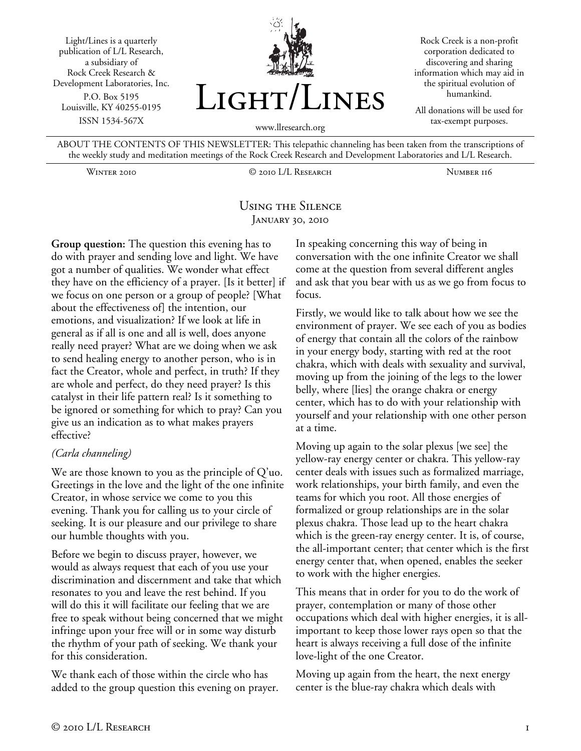Light/Lines is a quarterly publication of L/L Research, a subsidiary of Rock Creek Research & Development Laboratories, Inc. P.O. Box 5195 Louisville, KY 40255-0195 ISSN 1534-567X



Rock Creek is a non-profit corporation dedicated to discovering and sharing information which may aid in the spiritual evolution of humankind.

All donations will be used for tax-exempt purposes.

ABOUT THE CONTENTS OF THIS NEWSLETTER: This telepathic channeling has been taken from the transcriptions of the weekly study and meditation meetings of the Rock Creek Research and Development Laboratories and L/L Research.

Winter 2010 © 2010 L/L Research Number 116

## Using the Silence January 30, 2010

**Group question:** The question this evening has to do with prayer and sending love and light. We have got a number of qualities. We wonder what effect they have on the efficiency of a prayer. [Is it better] if we focus on one person or a group of people? [What about the effectiveness of] the intention, our emotions, and visualization? If we look at life in general as if all is one and all is well, does anyone really need prayer? What are we doing when we ask to send healing energy to another person, who is in fact the Creator, whole and perfect, in truth? If they are whole and perfect, do they need prayer? Is this catalyst in their life pattern real? Is it something to be ignored or something for which to pray? Can you give us an indication as to what makes prayers effective?

## *(Carla channeling)*

We are those known to you as the principle of Q'uo. Greetings in the love and the light of the one infinite Creator, in whose service we come to you this evening. Thank you for calling us to your circle of seeking. It is our pleasure and our privilege to share our humble thoughts with you.

Before we begin to discuss prayer, however, we would as always request that each of you use your discrimination and discernment and take that which resonates to you and leave the rest behind. If you will do this it will facilitate our feeling that we are free to speak without being concerned that we might infringe upon your free will or in some way disturb the rhythm of your path of seeking. We thank your for this consideration.

We thank each of those within the circle who has added to the group question this evening on prayer. In speaking concerning this way of being in conversation with the one infinite Creator we shall come at the question from several different angles and ask that you bear with us as we go from focus to focus.

Firstly, we would like to talk about how we see the environment of prayer. We see each of you as bodies of energy that contain all the colors of the rainbow in your energy body, starting with red at the root chakra, which with deals with sexuality and survival, moving up from the joining of the legs to the lower belly, where [lies] the orange chakra or energy center, which has to do with your relationship with yourself and your relationship with one other person at a time.

Moving up again to the solar plexus [we see] the yellow-ray energy center or chakra. This yellow-ray center deals with issues such as formalized marriage, work relationships, your birth family, and even the teams for which you root. All those energies of formalized or group relationships are in the solar plexus chakra. Those lead up to the heart chakra which is the green-ray energy center. It is, of course, the all-important center; that center which is the first energy center that, when opened, enables the seeker to work with the higher energies.

This means that in order for you to do the work of prayer, contemplation or many of those other occupations which deal with higher energies, it is allimportant to keep those lower rays open so that the heart is always receiving a full dose of the infinite love-light of the one Creator.

Moving up again from the heart, the next energy center is the blue-ray chakra which deals with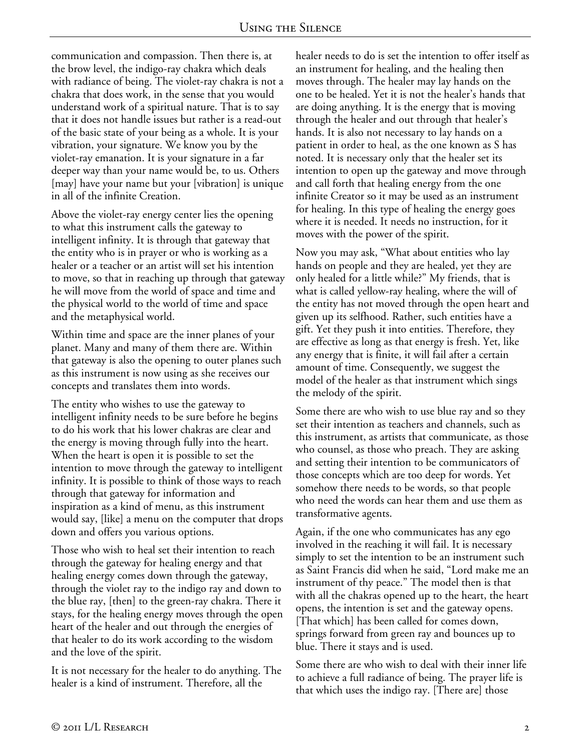communication and compassion. Then there is, at the brow level, the indigo-ray chakra which deals with radiance of being. The violet-ray chakra is not a chakra that does work, in the sense that you would understand work of a spiritual nature. That is to say that it does not handle issues but rather is a read-out of the basic state of your being as a whole. It is your vibration, your signature. We know you by the violet-ray emanation. It is your signature in a far deeper way than your name would be, to us. Others [may] have your name but your [vibration] is unique in all of the infinite Creation.

Above the violet-ray energy center lies the opening to what this instrument calls the gateway to intelligent infinity. It is through that gateway that the entity who is in prayer or who is working as a healer or a teacher or an artist will set his intention to move, so that in reaching up through that gateway he will move from the world of space and time and the physical world to the world of time and space and the metaphysical world.

Within time and space are the inner planes of your planet. Many and many of them there are. Within that gateway is also the opening to outer planes such as this instrument is now using as she receives our concepts and translates them into words.

The entity who wishes to use the gateway to intelligent infinity needs to be sure before he begins to do his work that his lower chakras are clear and the energy is moving through fully into the heart. When the heart is open it is possible to set the intention to move through the gateway to intelligent infinity. It is possible to think of those ways to reach through that gateway for information and inspiration as a kind of menu, as this instrument would say, [like] a menu on the computer that drops down and offers you various options.

Those who wish to heal set their intention to reach through the gateway for healing energy and that healing energy comes down through the gateway, through the violet ray to the indigo ray and down to the blue ray, [then] to the green-ray chakra. There it stays, for the healing energy moves through the open heart of the healer and out through the energies of that healer to do its work according to the wisdom and the love of the spirit.

It is not necessary for the healer to do anything. The healer is a kind of instrument. Therefore, all the

healer needs to do is set the intention to offer itself as an instrument for healing, and the healing then moves through. The healer may lay hands on the one to be healed. Yet it is not the healer's hands that are doing anything. It is the energy that is moving through the healer and out through that healer's hands. It is also not necessary to lay hands on a patient in order to heal, as the one known as S has noted. It is necessary only that the healer set its intention to open up the gateway and move through and call forth that healing energy from the one infinite Creator so it may be used as an instrument for healing. In this type of healing the energy goes where it is needed. It needs no instruction, for it moves with the power of the spirit.

Now you may ask, "What about entities who lay hands on people and they are healed, yet they are only healed for a little while?" My friends, that is what is called yellow-ray healing, where the will of the entity has not moved through the open heart and given up its selfhood. Rather, such entities have a gift. Yet they push it into entities. Therefore, they are effective as long as that energy is fresh. Yet, like any energy that is finite, it will fail after a certain amount of time. Consequently, we suggest the model of the healer as that instrument which sings the melody of the spirit.

Some there are who wish to use blue ray and so they set their intention as teachers and channels, such as this instrument, as artists that communicate, as those who counsel, as those who preach. They are asking and setting their intention to be communicators of those concepts which are too deep for words. Yet somehow there needs to be words, so that people who need the words can hear them and use them as transformative agents.

Again, if the one who communicates has any ego involved in the reaching it will fail. It is necessary simply to set the intention to be an instrument such as Saint Francis did when he said, "Lord make me an instrument of thy peace." The model then is that with all the chakras opened up to the heart, the heart opens, the intention is set and the gateway opens. [That which] has been called for comes down, springs forward from green ray and bounces up to blue. There it stays and is used.

Some there are who wish to deal with their inner life to achieve a full radiance of being. The prayer life is that which uses the indigo ray. [There are] those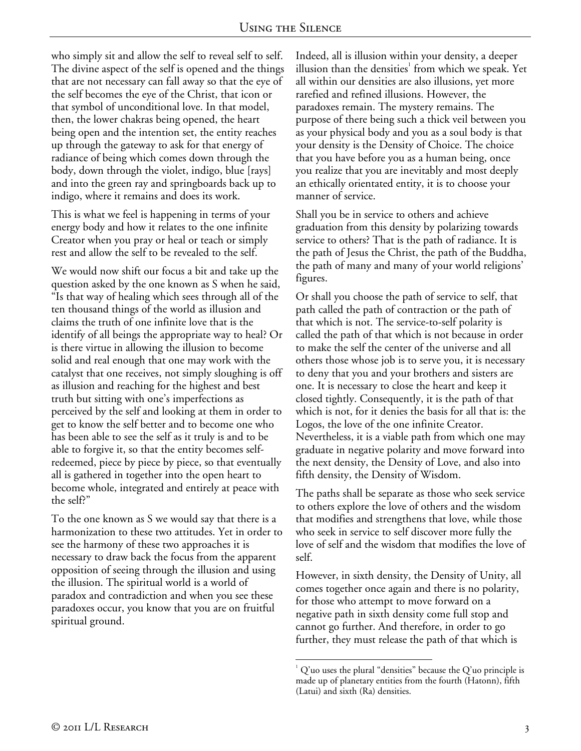who simply sit and allow the self to reveal self to self. The divine aspect of the self is opened and the things that are not necessary can fall away so that the eye of the self becomes the eye of the Christ, that icon or that symbol of unconditional love. In that model, then, the lower chakras being opened, the heart being open and the intention set, the entity reaches up through the gateway to ask for that energy of radiance of being which comes down through the body, down through the violet, indigo, blue [rays] and into the green ray and springboards back up to indigo, where it remains and does its work.

This is what we feel is happening in terms of your energy body and how it relates to the one infinite Creator when you pray or heal or teach or simply rest and allow the self to be revealed to the self.

We would now shift our focus a bit and take up the question asked by the one known as S when he said, "Is that way of healing which sees through all of the ten thousand things of the world as illusion and claims the truth of one infinite love that is the identify of all beings the appropriate way to heal? Or is there virtue in allowing the illusion to become solid and real enough that one may work with the catalyst that one receives, not simply sloughing is off as illusion and reaching for the highest and best truth but sitting with one's imperfections as perceived by the self and looking at them in order to get to know the self better and to become one who has been able to see the self as it truly is and to be able to forgive it, so that the entity becomes selfredeemed, piece by piece by piece, so that eventually all is gathered in together into the open heart to become whole, integrated and entirely at peace with the self?"

To the one known as S we would say that there is a harmonization to these two attitudes. Yet in order to see the harmony of these two approaches it is necessary to draw back the focus from the apparent opposition of seeing through the illusion and using the illusion. The spiritual world is a world of paradox and contradiction and when you see these paradoxes occur, you know that you are on fruitful spiritual ground.

Indeed, all is illusion within your density, a deeper illusion than the densities $^1$  from which we speak. Yet all within our densities are also illusions, yet more rarefied and refined illusions. However, the paradoxes remain. The mystery remains. The purpose of there being such a thick veil between you as your physical body and you as a soul body is that your density is the Density of Choice. The choice that you have before you as a human being, once you realize that you are inevitably and most deeply an ethically orientated entity, it is to choose your manner of service.

Shall you be in service to others and achieve graduation from this density by polarizing towards service to others? That is the path of radiance. It is the path of Jesus the Christ, the path of the Buddha, the path of many and many of your world religions' figures.

Or shall you choose the path of service to self, that path called the path of contraction or the path of that which is not. The service-to-self polarity is called the path of that which is not because in order to make the self the center of the universe and all others those whose job is to serve you, it is necessary to deny that you and your brothers and sisters are one. It is necessary to close the heart and keep it closed tightly. Consequently, it is the path of that which is not, for it denies the basis for all that is: the Logos, the love of the one infinite Creator. Nevertheless, it is a viable path from which one may graduate in negative polarity and move forward into the next density, the Density of Love, and also into fifth density, the Density of Wisdom.

The paths shall be separate as those who seek service to others explore the love of others and the wisdom that modifies and strengthens that love, while those who seek in service to self discover more fully the love of self and the wisdom that modifies the love of self.

However, in sixth density, the Density of Unity, all comes together once again and there is no polarity, for those who attempt to move forward on a negative path in sixth density come full stop and cannot go further. And therefore, in order to go further, they must release the path of that which is

 $\overline{a}$  $1^1$  Q'uo uses the plural "densities" because the Q'uo principle is made up of planetary entities from the fourth (Hatonn), fifth (Latui) and sixth (Ra) densities.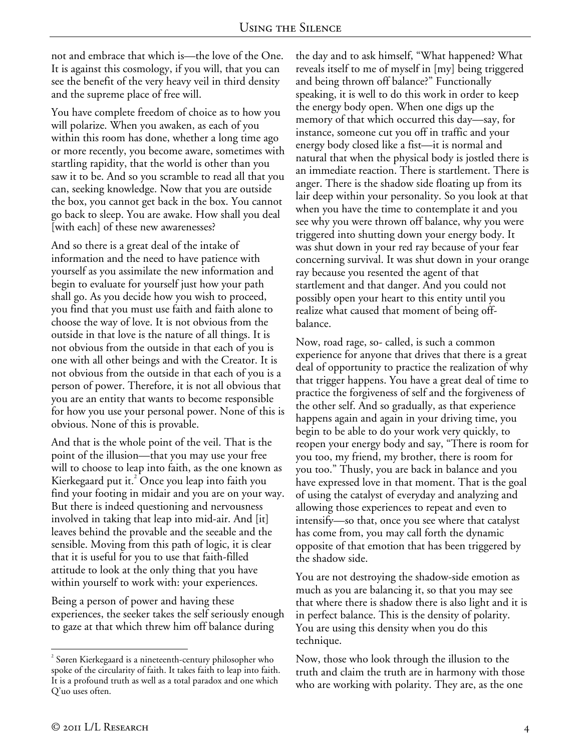not and embrace that which is—the love of the One. It is against this cosmology, if you will, that you can see the benefit of the very heavy veil in third density and the supreme place of free will.

You have complete freedom of choice as to how you will polarize. When you awaken, as each of you within this room has done, whether a long time ago or more recently, you become aware, sometimes with startling rapidity, that the world is other than you saw it to be. And so you scramble to read all that you can, seeking knowledge. Now that you are outside the box, you cannot get back in the box. You cannot go back to sleep. You are awake. How shall you deal [with each] of these new awarenesses?

And so there is a great deal of the intake of information and the need to have patience with yourself as you assimilate the new information and begin to evaluate for yourself just how your path shall go. As you decide how you wish to proceed, you find that you must use faith and faith alone to choose the way of love. It is not obvious from the outside in that love is the nature of all things. It is not obvious from the outside in that each of you is one with all other beings and with the Creator. It is not obvious from the outside in that each of you is a person of power. Therefore, it is not all obvious that you are an entity that wants to become responsible for how you use your personal power. None of this is obvious. None of this is provable.

And that is the whole point of the veil. That is the point of the illusion—that you may use your free will to choose to leap into faith, as the one known as Kierkegaard put it.<sup>2</sup> Once you leap into faith you find your footing in midair and you are on your way. But there is indeed questioning and nervousness involved in taking that leap into mid-air. And [it] leaves behind the provable and the seeable and the sensible. Moving from this path of logic, it is clear that it is useful for you to use that faith-filled attitude to look at the only thing that you have within yourself to work with: your experiences.

Being a person of power and having these experiences, the seeker takes the self seriously enough to gaze at that which threw him off balance during

the day and to ask himself, "What happened? What reveals itself to me of myself in [my] being triggered and being thrown off balance?" Functionally speaking, it is well to do this work in order to keep the energy body open. When one digs up the memory of that which occurred this day—say, for instance, someone cut you off in traffic and your energy body closed like a fist—it is normal and natural that when the physical body is jostled there is an immediate reaction. There is startlement. There is anger. There is the shadow side floating up from its lair deep within your personality. So you look at that when you have the time to contemplate it and you see why you were thrown off balance, why you were triggered into shutting down your energy body. It was shut down in your red ray because of your fear concerning survival. It was shut down in your orange ray because you resented the agent of that startlement and that danger. And you could not possibly open your heart to this entity until you realize what caused that moment of being offbalance.

Now, road rage, so- called, is such a common experience for anyone that drives that there is a great deal of opportunity to practice the realization of why that trigger happens. You have a great deal of time to practice the forgiveness of self and the forgiveness of the other self. And so gradually, as that experience happens again and again in your driving time, you begin to be able to do your work very quickly, to reopen your energy body and say, "There is room for you too, my friend, my brother, there is room for you too." Thusly, you are back in balance and you have expressed love in that moment. That is the goal of using the catalyst of everyday and analyzing and allowing those experiences to repeat and even to intensify—so that, once you see where that catalyst has come from, you may call forth the dynamic opposite of that emotion that has been triggered by the shadow side.

You are not destroying the shadow-side emotion as much as you are balancing it, so that you may see that where there is shadow there is also light and it is in perfect balance. This is the density of polarity. You are using this density when you do this technique.

Now, those who look through the illusion to the truth and claim the truth are in harmony with those who are working with polarity. They are, as the one

 $\overline{a}$ 

 $2^{2}$  Søren Kierkegaard is a nineteenth-century philosopher who spoke of the circularity of faith. It takes faith to leap into faith. It is a profound truth as well as a total paradox and one which Q'uo uses often.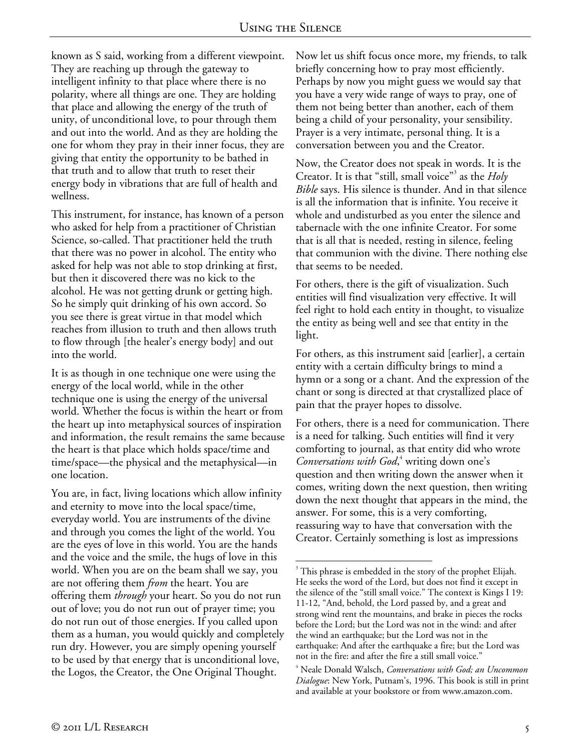known as S said, working from a different viewpoint. They are reaching up through the gateway to intelligent infinity to that place where there is no polarity, where all things are one. They are holding that place and allowing the energy of the truth of unity, of unconditional love, to pour through them and out into the world. And as they are holding the one for whom they pray in their inner focus, they are giving that entity the opportunity to be bathed in that truth and to allow that truth to reset their energy body in vibrations that are full of health and wellness.

This instrument, for instance, has known of a person who asked for help from a practitioner of Christian Science, so-called. That practitioner held the truth that there was no power in alcohol. The entity who asked for help was not able to stop drinking at first, but then it discovered there was no kick to the alcohol. He was not getting drunk or getting high. So he simply quit drinking of his own accord. So you see there is great virtue in that model which reaches from illusion to truth and then allows truth to flow through [the healer's energy body] and out into the world.

It is as though in one technique one were using the energy of the local world, while in the other technique one is using the energy of the universal world. Whether the focus is within the heart or from the heart up into metaphysical sources of inspiration and information, the result remains the same because the heart is that place which holds space/time and time/space—the physical and the metaphysical—in one location.

You are, in fact, living locations which allow infinity and eternity to move into the local space/time, everyday world. You are instruments of the divine and through you comes the light of the world. You are the eyes of love in this world. You are the hands and the voice and the smile, the hugs of love in this world. When you are on the beam shall we say, you are not offering them *from* the heart. You are offering them *through* your heart. So you do not run out of love; you do not run out of prayer time; you do not run out of those energies. If you called upon them as a human, you would quickly and completely run dry. However, you are simply opening yourself to be used by that energy that is unconditional love, the Logos, the Creator, the One Original Thought.

Now let us shift focus once more, my friends, to talk briefly concerning how to pray most efficiently. Perhaps by now you might guess we would say that you have a very wide range of ways to pray, one of them not being better than another, each of them being a child of your personality, your sensibility. Prayer is a very intimate, personal thing. It is a conversation between you and the Creator.

Now, the Creator does not speak in words. It is the Creator. It is that "still, small voice"<sup>3</sup> as the *Holy Bible* says. His silence is thunder. And in that silence is all the information that is infinite. You receive it whole and undisturbed as you enter the silence and tabernacle with the one infinite Creator. For some that is all that is needed, resting in silence, feeling that communion with the divine. There nothing else that seems to be needed.

For others, there is the gift of visualization. Such entities will find visualization very effective. It will feel right to hold each entity in thought, to visualize the entity as being well and see that entity in the light.

For others, as this instrument said [earlier], a certain entity with a certain difficulty brings to mind a hymn or a song or a chant. And the expression of the chant or song is directed at that crystallized place of pain that the prayer hopes to dissolve.

For others, there is a need for communication. There is a need for talking. Such entities will find it very comforting to journal, as that entity did who wrote Conversations with God,<sup>4</sup> writing down one's question and then writing down the answer when it comes, writing down the next question, then writing down the next thought that appears in the mind, the answer. For some, this is a very comforting, reassuring way to have that conversation with the Creator. Certainly something is lost as impressions

 $\overline{a}$ <sup>3</sup> This phrase is embedded in the story of the prophet Elijah. He seeks the word of the Lord, but does not find it except in the silence of the "still small voice." The context is Kings I 19: 11-12, "And, behold, the Lord passed by, and a great and strong wind rent the mountains, and brake in pieces the rocks before the Lord; but the Lord was not in the wind: and after the wind an earthquake; but the Lord was not in the earthquake: And after the earthquake a fire; but the Lord was not in the fire: and after the fire a still small voice."

<sup>4</sup> Neale Donald Walsch, *Conversations with God; an Uncommon Dialogue*: New York, Putnam's, 1996. This book is still in print and available at your bookstore or from www.amazon.com.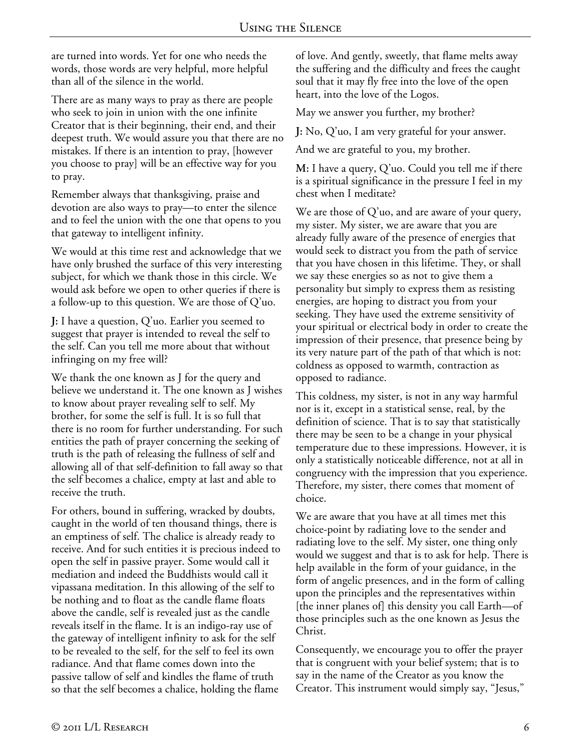are turned into words. Yet for one who needs the words, those words are very helpful, more helpful than all of the silence in the world.

There are as many ways to pray as there are people who seek to join in union with the one infinite Creator that is their beginning, their end, and their deepest truth. We would assure you that there are no mistakes. If there is an intention to pray, [however you choose to pray] will be an effective way for you to pray.

Remember always that thanksgiving, praise and devotion are also ways to pray—to enter the silence and to feel the union with the one that opens to you that gateway to intelligent infinity.

We would at this time rest and acknowledge that we have only brushed the surface of this very interesting subject, for which we thank those in this circle. We would ask before we open to other queries if there is a follow-up to this question. We are those of Q'uo.

**J:** I have a question, Q'uo. Earlier you seemed to suggest that prayer is intended to reveal the self to the self. Can you tell me more about that without infringing on my free will?

We thank the one known as J for the query and believe we understand it. The one known as J wishes to know about prayer revealing self to self. My brother, for some the self is full. It is so full that there is no room for further understanding. For such entities the path of prayer concerning the seeking of truth is the path of releasing the fullness of self and allowing all of that self-definition to fall away so that the self becomes a chalice, empty at last and able to receive the truth.

For others, bound in suffering, wracked by doubts, caught in the world of ten thousand things, there is an emptiness of self. The chalice is already ready to receive. And for such entities it is precious indeed to open the self in passive prayer. Some would call it mediation and indeed the Buddhists would call it vipassana meditation. In this allowing of the self to be nothing and to float as the candle flame floats above the candle, self is revealed just as the candle reveals itself in the flame. It is an indigo-ray use of the gateway of intelligent infinity to ask for the self to be revealed to the self, for the self to feel its own radiance. And that flame comes down into the passive tallow of self and kindles the flame of truth so that the self becomes a chalice, holding the flame

of love. And gently, sweetly, that flame melts away the suffering and the difficulty and frees the caught soul that it may fly free into the love of the open heart, into the love of the Logos.

May we answer you further, my brother?

**J:** No, Q'uo, I am very grateful for your answer.

And we are grateful to you, my brother.

**M:** I have a query, Q'uo. Could you tell me if there is a spiritual significance in the pressure I feel in my chest when I meditate?

We are those of Q'uo, and are aware of your query, my sister. My sister, we are aware that you are already fully aware of the presence of energies that would seek to distract you from the path of service that you have chosen in this lifetime. They, or shall we say these energies so as not to give them a personality but simply to express them as resisting energies, are hoping to distract you from your seeking. They have used the extreme sensitivity of your spiritual or electrical body in order to create the impression of their presence, that presence being by its very nature part of the path of that which is not: coldness as opposed to warmth, contraction as opposed to radiance.

This coldness, my sister, is not in any way harmful nor is it, except in a statistical sense, real, by the definition of science. That is to say that statistically there may be seen to be a change in your physical temperature due to these impressions. However, it is only a statistically noticeable difference, not at all in congruency with the impression that you experience. Therefore, my sister, there comes that moment of choice.

We are aware that you have at all times met this choice-point by radiating love to the sender and radiating love to the self. My sister, one thing only would we suggest and that is to ask for help. There is help available in the form of your guidance, in the form of angelic presences, and in the form of calling upon the principles and the representatives within [the inner planes of] this density you call Earth—of those principles such as the one known as Jesus the Christ.

Consequently, we encourage you to offer the prayer that is congruent with your belief system; that is to say in the name of the Creator as you know the Creator. This instrument would simply say, "Jesus,"